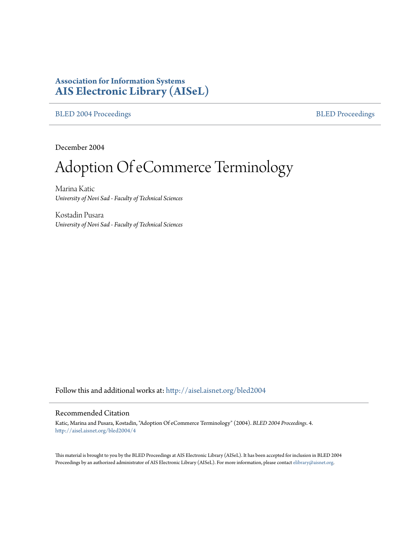# **Association for Information Systems [AIS Electronic Library \(AISeL\)](http://aisel.aisnet.org?utm_source=aisel.aisnet.org%2Fbled2004%2F4&utm_medium=PDF&utm_campaign=PDFCoverPages)**

[BLED 2004 Proceedings](http://aisel.aisnet.org/bled2004?utm_source=aisel.aisnet.org%2Fbled2004%2F4&utm_medium=PDF&utm_campaign=PDFCoverPages) **[BLED Proceedings](http://aisel.aisnet.org/bled?utm_source=aisel.aisnet.org%2Fbled2004%2F4&utm_medium=PDF&utm_campaign=PDFCoverPages)** 

December 2004

# Adoption Of eCommerce Terminology

Marina Katic *University of Novi Sad - Faculty of Technical Sciences*

Kostadin Pusara *University of Novi Sad - Faculty of Technical Sciences*

Follow this and additional works at: [http://aisel.aisnet.org/bled2004](http://aisel.aisnet.org/bled2004?utm_source=aisel.aisnet.org%2Fbled2004%2F4&utm_medium=PDF&utm_campaign=PDFCoverPages)

#### Recommended Citation

Katic, Marina and Pusara, Kostadin, "Adoption Of eCommerce Terminology" (2004). *BLED 2004 Proceedings*. 4. [http://aisel.aisnet.org/bled2004/4](http://aisel.aisnet.org/bled2004/4?utm_source=aisel.aisnet.org%2Fbled2004%2F4&utm_medium=PDF&utm_campaign=PDFCoverPages)

This material is brought to you by the BLED Proceedings at AIS Electronic Library (AISeL). It has been accepted for inclusion in BLED 2004 Proceedings by an authorized administrator of AIS Electronic Library (AISeL). For more information, please contact [elibrary@aisnet.org](mailto:elibrary@aisnet.org%3E).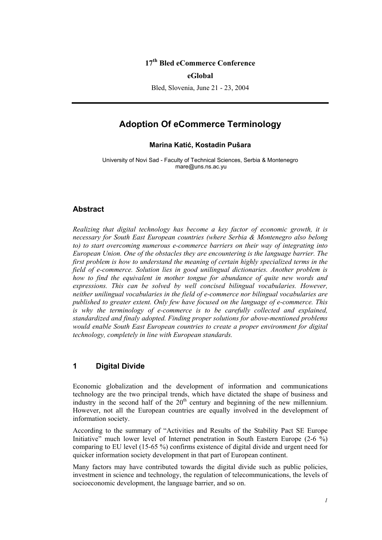## **17th Bled eCommerce Conference**

#### **eGlobal**

Bled, Slovenia, June 21 - 23, 2004

## **Adoption Of eCommerce Terminology**

#### **Marina Katić, Kostadin Pušara**

University of Novi Sad - Faculty of Technical Sciences, Serbia & Montenegro mare@uns.ns.ac.yu

#### **Abstract**

*Realizing that digital technology has become a key factor of economic growth, it is necessary for South East European countries (where Serbia & Montenegro also belong to) to start overcoming numerous e-commerce barriers on their way of integrating into European Union. One of the obstacles they are encountering is the language barrier. The first problem is how to understand the meaning of certain highly specialized terms in the field of e-commerce. Solution lies in good unilingual dictionaries. Another problem is how to find the equivalent in mother tongue for abundance of quite new words and expressions. This can be solved by well concised bilingual vocabularies. However, neither unilingual vocabularies in the field of e-commerce nor bilingual vocabularies are published to greater extent. Only few have focused on the language of e-commerce. This is why the terminology of e-commerce is to be carefully collected and explained, standardized and finaly adopted. Finding proper solutions for above-mentioned problems would enable South East European countries to create a proper environment for digital technology, completely in line with European standards.* 

## **1 Digital Divide**

Economic globalization and the development of information and communications technology are the two principal trends, which have dictated the shape of business and industry in the second half of the  $20<sup>th</sup>$  century and beginning of the new millennium. However, not all the European countries are equally involved in the development of information society.

According to the summary of "Activities and Results of the Stability Pact SE Europe Initiative" much lower level of Internet penetration in South Eastern Europe  $(2-6\frac{\hat{6}}{10})$ comparing to EU level (15-65 %) confirms existence of digital divide and urgent need for quicker information society development in that part of European continent.

Many factors may have contributed towards the digital divide such as public policies, investment in science and technology, the regulation of telecommunications, the levels of socioeconomic development, the language barrier, and so on.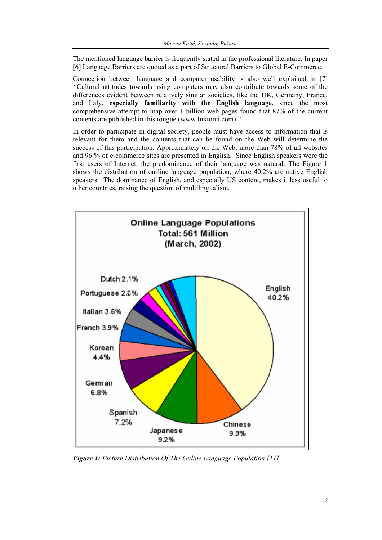The mentioned language barrier is frequently stated in the professional literature. In paper [6] Language Barriers are quoted as a part of Structural Barriers to Global E-Commerce.

Connection between language and computer usability is also well explained in [7] *"*Cultural attitudes towards using computers may also contribute towards some of the differences evident between relatively similar societies, like the UK, Germany, France, and Italy, **especially familiarity with the English language**, since the most comprehensive attempt to map over 1 billion web pages found that 87% of the current contents are published in this tongue (www.Inktomi.com)."

In order to participate in digital society, people must have access to information that is relevant for them and the contents that can be found on the Web will determine the success of this participation. Approximately on the Web, more than 78% of all websites and 96 % of e-commerce sites are presented in English. Since English speakers were the first users of Internet, the predominance of their language was natural. The Figure 1 shows the distribution of on-line language population, where 40.2% are native English speakers. The dominance of English, and especially US content, makes it less useful to other countries, raising the question of multilingualism.



*Figure 1: Picture Distribution Of The Online Language Population [11].*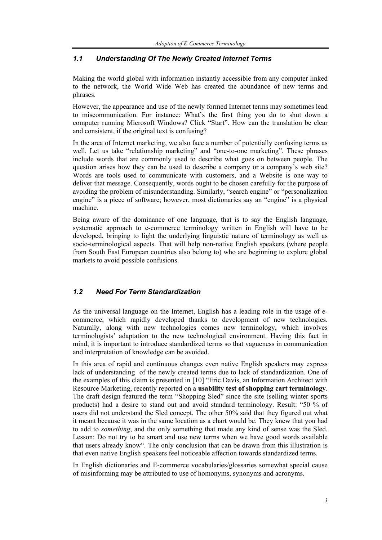#### *1.1 Understanding Of The Newly Created Internet Terms*

Making the world global with information instantly accessible from any computer linked to the network, the World Wide Web has created the abundance of new terms and phrases.

However, the appearance and use of the newly formed Internet terms may sometimes lead to miscommunication. For instance: What's the first thing you do to shut down a computer running Microsoft Windows? Click "Start". How can the translation be clear and consistent, if the original text is confusing?

In the area of Internet marketing, we also face a number of potentially confusing terms as well. Let us take "relationship marketing" and "one-to-one marketing". These phrases include words that are commonly used to describe what goes on between people. The question arises how they can be used to describe a company or a company's web site? Words are tools used to communicate with customers, and a Website is one way to deliver that message. Consequently, words ought to be chosen carefully for the purpose of avoiding the problem of misunderstanding. Similarly, "search engine" or "personalization engine" is a piece of software; however, most dictionaries say an "engine" is a physical machine.

Being aware of the dominance of one language, that is to say the English language, systematic approach to e-commerce terminology written in English will have to be developed, bringing to light the underlying linguistic nature of terminology as well as socio-terminological aspects. That will help non-native English speakers (where people from South East European countries also belong to) who are beginning to explore global markets to avoid possible confusions.

#### *1.2 Need For Term Standardization*

As the universal language on the Internet, English has a leading role in the usage of ecommerce, which rapidly developed thanks to development of new technologies. Naturally, along with new technologies comes new terminology, which involves terminologists' adaptation to the new technological environment. Having this fact in mind, it is important to introduce standardized terms so that vagueness in communication and interpretation of knowledge can be avoided.

In this area of rapid and continuous changes even native English speakers may express lack of understanding of the newly created terms due to lack of standardization. One of the examples of this claim is presented in [10] "Eric Davis, an Information Architect with Resource Marketing, recently reported on a **usability test of shopping cart terminology**. The draft design featured the term "Shopping Sled" since the site (selling winter sports products) had a desire to stand out and avoid standard terminology. Result: "50 % of users did not understand the Sled concept. The other 50% said that they figured out what it meant because it was in the same location as a chart would be. They knew that you had to add to *something*, and the only something that made any kind of sense was the Sled. Lesson: Do not try to be smart and use new terms when we have good words available that users already know". The only conclusion that can be drawn from this illustration is that even native English speakers feel noticeable affection towards standardized terms.

In English dictionaries and E-commerce vocabularies/glossaries somewhat special cause of misinforming may be attributed to use of homonyms, synonyms and acronyms.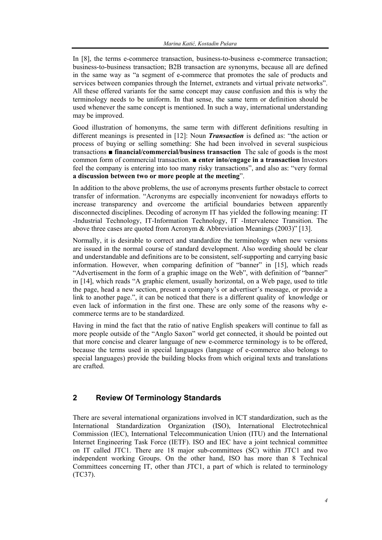In [8], the terms e-commerce transaction, business-to-business e-commerce transaction; business-to-business transaction; B2B transaction are synonyms, because all are defined in the same way as "a segment of e-commerce that promotes the sale of products and services between companies through the Internet, extranets and virtual private networks". All these offered variants for the same concept may cause confusion and this is why the terminology needs to be uniform. In that sense, the same term or definition should be used whenever the same concept is mentioned. In such a way, international understanding may be improved.

Good illustration of homonyms, the same term with different definitions resulting in different meanings is presented in [12]: Noun *Transaction* is defined as: "the action or process of buying or selling something: She had been involved in several suspicious transactions ■ **financial/commercial/business transaction** The sale of goods is the most common form of commercial transaction. ■ **enter into/engage in a transaction** Investors feel the company is entering into too many risky transactions", and also as: "very formal **a discussion between two or more people at the meeting**".

In addition to the above problems, the use of acronyms presents further obstacle to correct transfer of information. "Acronyms are especially inconvenient for nowadays efforts to increase transparency and overcome the artificial boundaries between apparently disconnected disciplines. Decoding of acronym IT has yielded the following meaning: IT -Industrial Technology, IT-Information Technology, IT -Intervalence Transition. The above three cases are quoted from Acronym & Abbreviation Meanings (2003)" [13].

Normally, it is desirable to correct and standardize the terminology when new versions are issued in the normal course of standard development. Also wording should be clear and understandable and definitions are to be consistent, self-supporting and carrying basic information. However, when comparing definition of "banner" in [15], which reads "Advertisement in the form of a graphic image on the Web", with definition of "banner" in [14], which reads "A graphic element, usually horizontal, on a Web page, used to title the page, head a new section, present a company's or advertiser's message, or provide a link to another page.", it can be noticed that there is a different quality of knowledge or even lack of information in the first one. These are only some of the reasons why ecommerce terms are to be standardized.

Having in mind the fact that the ratio of native English speakers will continue to fall as more people outside of the "Anglo Saxon" world get connected, it should be pointed out that more concise and clearer language of new e-commerce terminology is to be offered, because the terms used in special languages (language of e-commerce also belongs to special languages) provide the building blocks from which original texts and translations are crafted.

## **2 Review Of Terminology Standards**

There are several international organizations involved in ICT standardization, such as the International Standardization Organization (ISO), International Electrotechnical Commission (IEC), International Telecommunication Union (ITU) and the International Internet Engineering Task Force (IETF). ISO and IEC have a joint technical committee on IT called JTC1. There are 18 major sub-committees (SC) within JTC1 and two independent working Groups. On the other hand, ISO has more than 8 Technical Committees concerning IT, other than JTC1, a part of which is related to terminology (TC37).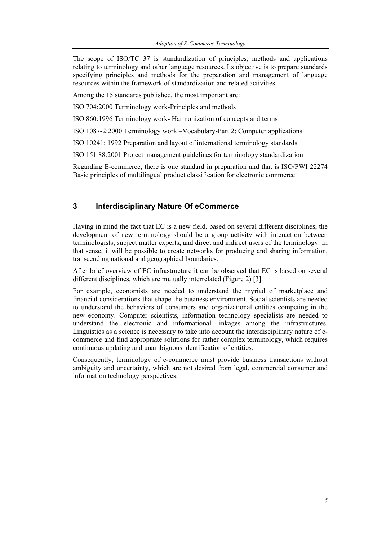The scope of ISO/TC 37 is standardization of principles, methods and applications relating to terminology and other language resources. Its objective is to prepare standards specifying principles and methods for the preparation and management of language resources within the framework of standardization and related activities.

Among the 15 standards published, the most important are:

ISO 704:2000 Terminology work-Principles and methods

ISO 860:1996 Terminology work- Harmonization of concepts and terms

ISO 1087-2:2000 Terminology work –Vocabulary-Part 2: Computer applications

ISO 10241: 1992 Preparation and layout of international terminology standards

ISO 151 88:2001 Project management guidelines for terminology standardization

Regarding E-commerce, there is one standard in preparation and that is ISO/PWI 22274 Basic principles of multilingual product classification for electronic commerce.

#### **3 Interdisciplinary Nature Of eCommerce**

Having in mind the fact that EC is a new field, based on several different disciplines, the development of new terminology should be a group activity with interaction between terminologists, subject matter experts, and direct and indirect users of the terminology. In that sense, it will be possible to create networks for producing and sharing information, transcending national and geographical boundaries.

After brief overview of EC infrastructure it can be observed that EC is based on several different disciplines, which are mutually interrelated (Figure 2) [3].

For example, economists are needed to understand the myriad of marketplace and financial considerations that shape the business environment. Social scientists are needed to understand the behaviors of consumers and organizational entities competing in the new economy. Computer scientists, information technology specialists are needed to understand the electronic and informational linkages among the infrastructures. Linguistics as a science is necessary to take into account the interdisciplinary nature of ecommerce and find appropriate solutions for rather complex terminology, which requires continuous updating and unambiguous identification of entities.

Consequently, terminology of e-commerce must provide business transactions without ambiguity and uncertainty, which are not desired from legal, commercial consumer and information technology perspectives.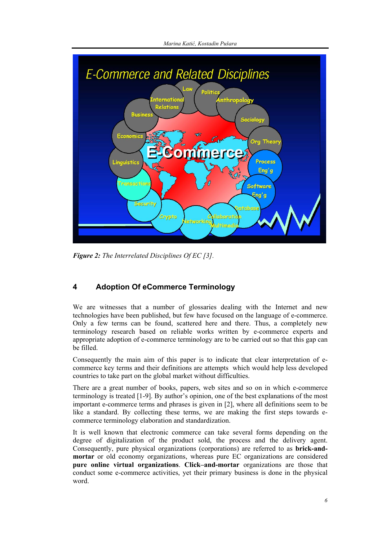

*Figure 2: The Interrelated Disciplines Of EC [3].* 

# **4 Adoption Of eCommerce Terminology**

We are witnesses that a number of glossaries dealing with the Internet and new technologies have been published, but few have focused on the language of e-commerce. Only a few terms can be found, scattered here and there. Thus, a completely new terminology research based on reliable works written by e-commerce experts and appropriate adoption of e-commerce terminology are to be carried out so that this gap can be filled.

Consequently the main aim of this paper is to indicate that clear interpretation of ecommerce key terms and their definitions are attempts which would help less developed countries to take part on the global market without difficulties.

There are a great number of books, papers, web sites and so on in which e-commerce terminology is treated [1-9]. By author's opinion, one of the best explanations of the most important e-commerce terms and phrases is given in [2], where all definitions seem to be like a standard. By collecting these terms, we are making the first steps towards ecommerce terminology elaboration and standardization.

It is well known that electronic commerce can take several forms depending on the degree of digitalization of the product sold, the process and the delivery agent. Consequently, pure physical organizations (corporations) are referred to as **brick-andmortar** or old economy organizations, whereas pure EC organizations are considered **pure online virtual organizations**. **Click–and-mortar** organizations are those that conduct some e-commerce activities, yet their primary business is done in the physical word.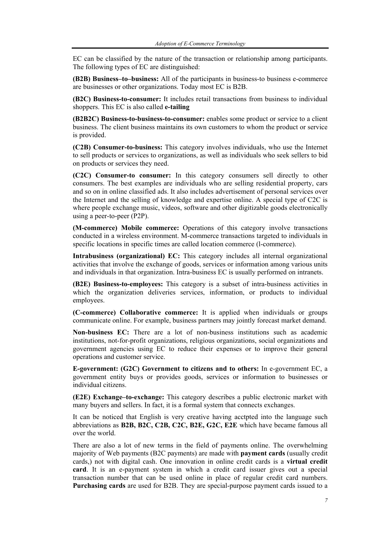EC can be classified by the nature of the transaction or relationship among participants. The following types of EC are distinguished:

**(B2B) Business–to–business:** All of the participants in business-to business e-commerce are businesses or other organizations. Today most EC is B2B.

**(B2C) Business-to-consumer:** It includes retail transactions from business to individual shoppers. This EC is also called **e-tailing** 

**(B2B2C) Business-to-business-to-consumer:** enables some product or service to a client business. The client business maintains its own customers to whom the product or service is provided.

**(C2B) Consumer-to-business:** This category involves individuals, who use the Internet to sell products or services to organizations, as well as individuals who seek sellers to bid on products or services they need.

**(C2C) Consumer-to consumer:** In this category consumers sell directly to other consumers. The best examples are individuals who are selling residential property, cars and so on in online classified ads. It also includes advertisement of personal services over the Internet and the selling of knowledge and expertise online. A special type of C2C is where people exchange music, videos, software and other digitizable goods electronically using a peer-to-peer (P2P).

**(M-commerce) Mobile commerce:** Operations of this category involve transactions conducted in a wireless environment. M-commerce transactions targeted to individuals in specific locations in specific times are called location commerce (l-commerce).

**Intrabusiness (organizational) EC:** This category includes all internal organizational activities that involve the exchange of goods, services or information among various units and individuals in that organization. Intra-business EC is usually performed on intranets.

**(B2E) Business-to-employees:** This category is a subset of intra-business activities in which the organization deliveries services, information, or products to individual employees.

**(C-commerce) Collaborative commerce:** It is applied when individuals or groups communicate online. For example, business partners may jointly forecast market demand.

**Non-business EC:** There are a lot of non-business institutions such as academic institutions, not-for-profit organizations, religious organizations, social organizations and government agencies using EC to reduce their expenses or to improve their general operations and customer service.

**E-government: (G2C) Government to citizens and to others:** In e-government EC, a government entity buys or provides goods, services or information to businesses or individual citizens.

**(E2E) Exchange–to-exchange:** This category describes a public electronic market with many buyers and sellers. In fact, it is a formal system that connects exchanges.

It can be noticed that English is very creative having acctpted into the language such abbreviations as **B2B, B2C, C2B, C2C, B2E, G2C, E2E** which have became famous all over the world.

There are also a lot of new terms in the field of payments online. The overwhelming majority of Web payments (B2C payments) are made with **payment cards** (usually credit cards,) not with digital cash. One innovation in online credit cards is a **virtual credit card**. It is an e-payment system in which a credit card issuer gives out a special transaction number that can be used online in place of regular credit card numbers. **Purchasing cards** are used for B2B. They are special-purpose payment cards issued to a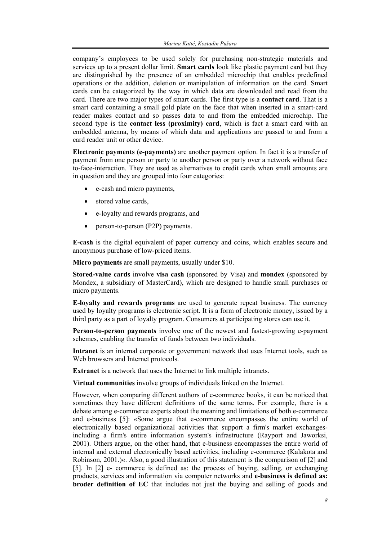company's employees to be used solely for purchasing non-strategic materials and services up to a present dollar limit. **Smart cards** look like plastic payment card but they are distinguished by the presence of an embedded microchip that enables predefined operations or the addition, deletion or manipulation of information on the card. Smart cards can be categorized by the way in which data are downloaded and read from the card. There are two major types of smart cards. The first type is a **contact card**. That is a smart card containing a small gold plate on the face that when inserted in a smart-card reader makes contact and so passes data to and from the embedded microchip. The second type is the **contact less (proximity) card**, which is fact a smart card with an embedded antenna, by means of which data and applications are passed to and from a card reader unit or other device.

**Electronic payments (e-payments)** are another payment option. In fact it is a transfer of payment from one person or party to another person or party over a network without face to-face-interaction. They are used as alternatives to credit cards when small amounts are in question and they are grouped into four categories:

- e-cash and micro payments,
- stored value cards,
- e-loyalty and rewards programs, and
- person-to-person (P2P) payments.

**E-cash** is the digital equivalent of paper currency and coins, which enables secure and anonymous purchase of low-priced items.

**Micro payments** are small payments, usually under \$10.

**Stored-value cards** involve **visa cash** (sponsored by Visa) and **mondex** (sponsored by Mondex, a subsidiary of MasterCard), which are designed to handle small purchases or micro payments.

**E-loyalty and rewards programs** are used to generate repeat business. The currency used by loyalty programs is electronic script. It is a form of electronic money, issued by a third party as a part of loyalty program. Consumers at participating stores can use it.

**Person-to-person payments** involve one of the newest and fastest-growing e-payment schemes, enabling the transfer of funds between two individuals.

**Intranet** is an internal corporate or government network that uses Internet tools, such as Web browsers and Internet protocols.

**Extranet** is a network that uses the Internet to link multiple intranets.

**Virtual communities** involve groups of individuals linked on the Internet.

However, when comparing different authors of e-commerce books, it can be noticed that sometimes they have different definitions of the same terms. For example, there is a debate among e-commerce experts about the meaning and limitations of both e-commerce and e-business [5]: «Some argue that e-commerce encompasses the entire world of electronically based organizational activities that support a firm's market exchangesincluding a firm's entire information system's infrastructure (Rayport and Jaworksi, 2001). Others argue, on the other hand, that e-business encompasses the entire world of internal and external electronically based activities, including e-commerce (Kalakota and Robinson, 2001.)«. Also, a good illustration of this statement is the comparison of [2] and [5]. In [2] e- commerce is defined as: the process of buying, selling, or exchanging products, services and information via computer networks and **e-business is defined as: broder definition of EC** that includes not just the buying and selling of goods and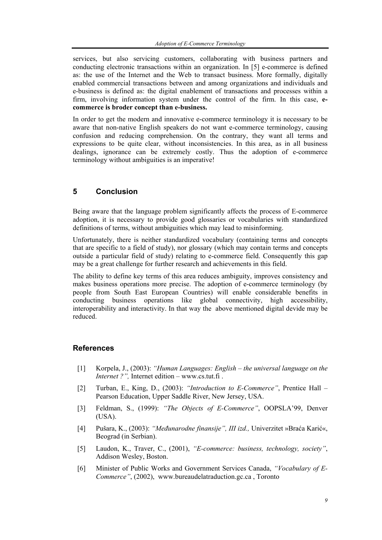services, but also servicing customers, collaborating with business partners and conducting electronic transactions within an organization. In [5] e-commerce is defined as: the use of the Internet and the Web to transact business. More formally, digitally enabled commercial transactions between and among organizations and individuals and e-business is defined as: the digital enablement of transactions and processes within a firm, involving information system under the control of the firm. In this case, **ecommerce is broder concept than e-business.** 

In order to get the modern and innovative e-commerce terminology it is necessary to be aware that non-native English speakers do not want e-commerce terminology, causing confusion and reducing comprehension. On the contrary, they want all terms and expressions to be quite clear, without inconsistencies. In this area, as in all business dealings, ignorance can be extremely costly. Thus the adoption of e-commerce terminology without ambiguities is an imperative!

## **5 Conclusion**

Being aware that the language problem significantly affects the process of E-commerce adoption, it is necessary to provide good glossaries or vocabularies with standardized definitions of terms, without ambiguities which may lead to misinforming.

Unfortunately, there is neither standardized vocabulary (containing terms and concepts that are specific to a field of study), nor glossary (which may contain terms and concepts outside a particular field of study) relating to e-commerce field. Consequently this gap may be a great challenge for further research and achievements in this field.

The ability to define key terms of this area reduces ambiguity, improves consistency and makes business operations more precise. The adoption of e-commerce terminology (by people from South East European Countries) will enable considerable benefits in conducting business operations like global connectivity, high accessibility, interoperability and interactivity. In that way the above mentioned digital devide may be reduced.

## **References**

- [1] Korpela, J., (2003): *"Human Languages: English the universal language on the Internet ?",* Internet edition – www.cs.tut.fi .
- [2] Turban, E., King, D., (2003): *"Introduction to E-Commerce"*, Prentice Hall Pearson Education, Upper Saddle River, New Jersey, USA.
- [3] Feldman, S., (1999): *"The Objects of E-Commerce"*, OOPSLA'99, Denver (USA).
- [4] Pušara, K., (2003): *"Međunarodne finansije", III izd.,* Univerzitet »Braća Karić«, Beograd (in Serbian).
- [5] Laudon, K., Traver, C., (2001), *"E-commerce: business, technology, society"*, Addison Wesley, Boston.
- [6] Minister of Public Works and Government Services Canada, *"Vocabulary of E-Commerce"*, (2002), www.bureaudelatraduction.gc.ca , Toronto